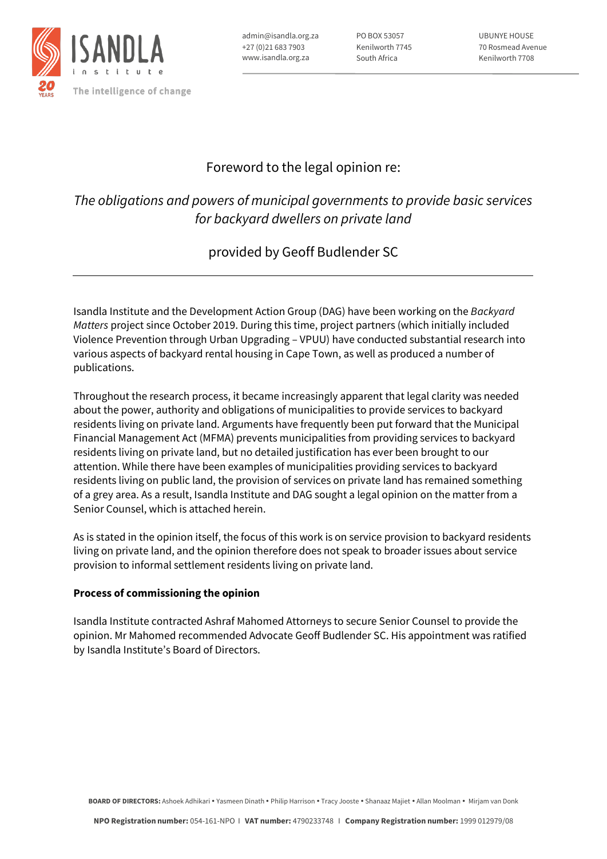

admin@isandla.org.za +27 (0)21 683 7903 www.isandla.org.za

PO BOX 53057 Kenilworth 7745 South Africa

UBUNYE HOUSE 70 Rosmead Avenue Kenilworth 7708

## Foreword to the legal opinion re:

# *The obligations and powers of municipal governments to provide basic services for backyard dwellers on private land*

## provided by Geoff Budlender SC

Isandla Institute and the Development Action Group (DAG) have been working on the *Backyard Matters* project since October 2019. During this time, project partners (which initially included Violence Prevention through Urban Upgrading – VPUU) have conducted substantial research into various aspects of backyard rental housing in Cape Town, as well as produced a number of publications.

Throughout the research process, it became increasingly apparent that legal clarity was needed about the power, authority and obligations of municipalities to provide services to backyard residents living on private land. Arguments have frequently been put forward that the Municipal Financial Management Act (MFMA) prevents municipalities from providing services to backyard residents living on private land, but no detailed justification has ever been brought to our attention. While there have been examples of municipalities providing services to backyard residents living on public land, the provision of services on private land has remained something of a grey area. As a result, Isandla Institute and DAG sought a legal opinion on the matter from a Senior Counsel, which is attached herein.

As is stated in the opinion itself, the focus of this work is on service provision to backyard residents living on private land, and the opinion therefore does not speak to broader issues about service provision to informal settlement residents living on private land.

### **Process of commissioning the opinion**

Isandla Institute contracted Ashraf Mahomed Attorneys to secure Senior Counsel to provide the opinion. Mr Mahomed recommended Advocate Geoff Budlender SC. His appointment was ratified by Isandla Institute's Board of Directors.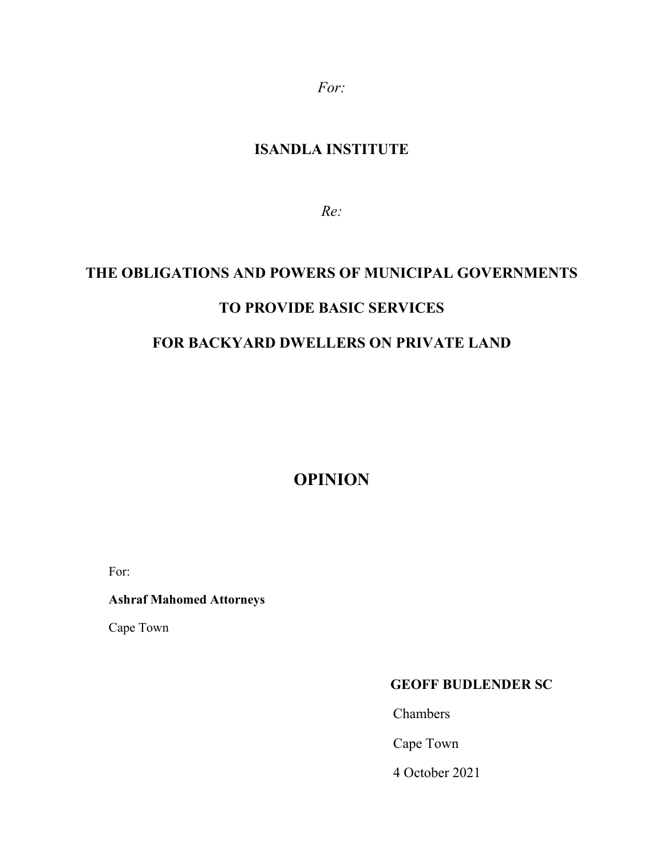*For:*

## **ISANDLA INSTITUTE**

*Re:* 

# **THE OBLIGATIONS AND POWERS OF MUNICIPAL GOVERNMENTS TO PROVIDE BASIC SERVICES**

# **FOR BACKYARD DWELLERS ON PRIVATE LAND**

**OPINION** 

For:

## **Ashraf Mahomed Attorneys**

Cape Town

## **GEOFF BUDLENDER SC**

Chambers

Cape Town

4 October 2021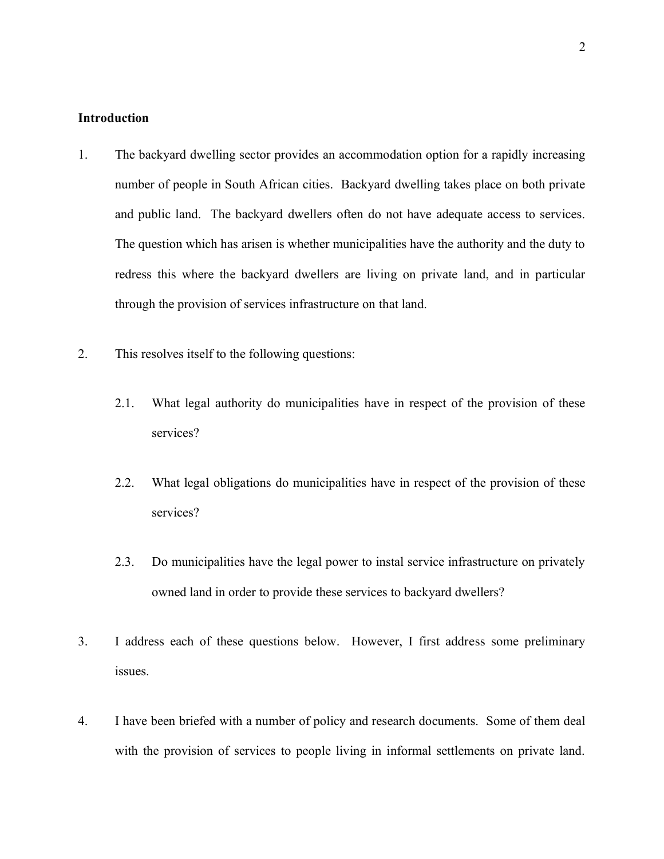#### **Introduction**

- 1. The backyard dwelling sector provides an accommodation option for a rapidly increasing number of people in South African cities. Backyard dwelling takes place on both private and public land. The backyard dwellers often do not have adequate access to services. The question which has arisen is whether municipalities have the authority and the duty to redress this where the backyard dwellers are living on private land, and in particular through the provision of services infrastructure on that land.
- 2. This resolves itself to the following questions:
	- 2.1. What legal authority do municipalities have in respect of the provision of these services?
	- 2.2. What legal obligations do municipalities have in respect of the provision of these services?
	- 2.3. Do municipalities have the legal power to instal service infrastructure on privately owned land in order to provide these services to backyard dwellers?
- 3. I address each of these questions below. However, I first address some preliminary issues.
- 4. I have been briefed with a number of policy and research documents. Some of them deal with the provision of services to people living in informal settlements on private land.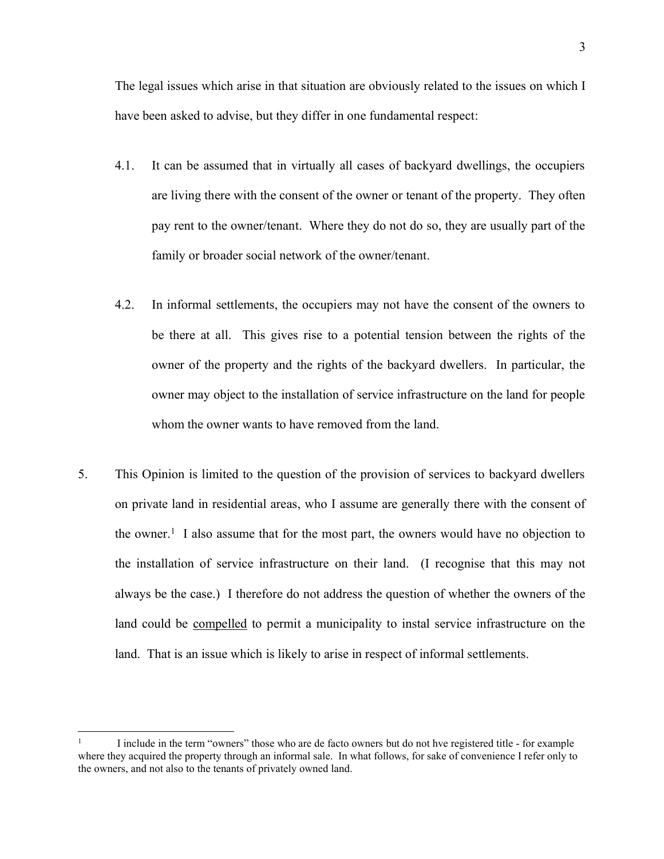The legal issues which arise in that situation are obviously related to the issues on which I have been asked to advise, but they differ in one fundamental respect:

- 4.1. It can be assumed that in virtually all cases of backyard dwellings, the occupiers are living there with the consent of the owner or tenant of the property. They often pay rent to the owner/tenant. Where they do not do so, they are usually part of the family or broader social network of the owner/tenant.
- 4.2. In informal settlements, the occupiers may not have the consent of the owners to be there at all. This gives rise to a potential tension between the rights of the owner of the property and the rights of the backyard dwellers. In particular, the owner may object to the installation of service infrastructure on the land for people whom the owner wants to have removed from the land.
- 5. This Opinion is limited to the question of the provision of services to backyard dwellers on private land in residential areas, who I assume are generally there with the consent of the owner. 1 I also assume that for the most part, the owners would have no objection to the installation of service infrastructure on their land. (I recognise that this may not always be the case.) I therefore do not address the question of whether the owners of the land could be compelled to permit a municipality to instal service infrastructure on the land. That is an issue which is likely to arise in respect of informal settlements.

<sup>1</sup> I include in the term "owners" those who are de facto owners but do not hve registered title - for example where they acquired the property through an informal sale. In what follows, for sake of convenience I refer only to the owners, and not also to the tenants of privately owned land.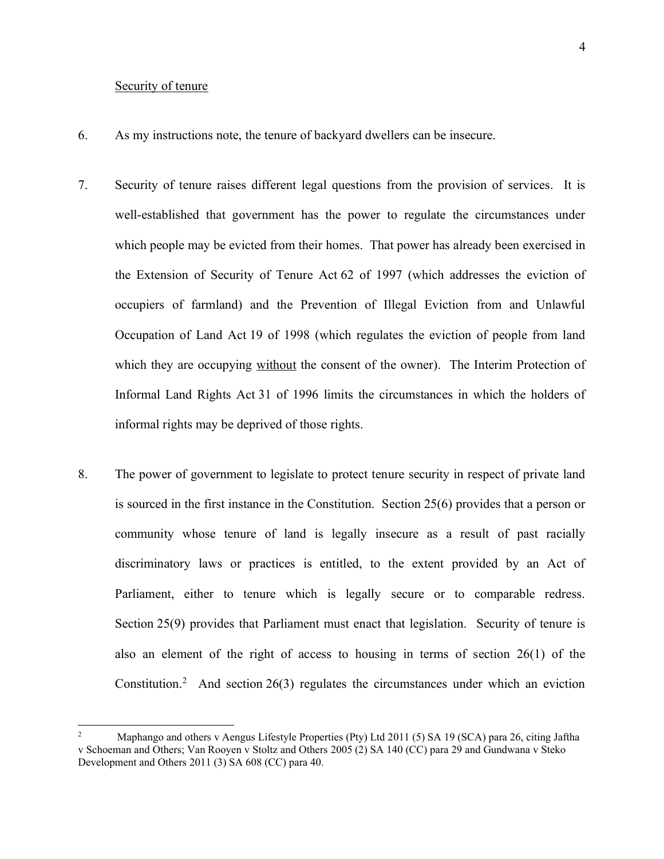#### Security of tenure

- 6. As my instructions note, the tenure of backyard dwellers can be insecure.
- 7. Security of tenure raises different legal questions from the provision of services. It is well-established that government has the power to regulate the circumstances under which people may be evicted from their homes. That power has already been exercised in the Extension of Security of Tenure Act 62 of 1997 (which addresses the eviction of occupiers of farmland) and the Prevention of Illegal Eviction from and Unlawful Occupation of Land Act 19 of 1998 (which regulates the eviction of people from land which they are occupying without the consent of the owner). The Interim Protection of Informal Land Rights Act 31 of 1996 limits the circumstances in which the holders of informal rights may be deprived of those rights.
- 8. The power of government to legislate to protect tenure security in respect of private land is sourced in the first instance in the Constitution. Section 25(6) provides that a person or community whose tenure of land is legally insecure as a result of past racially discriminatory laws or practices is entitled, to the extent provided by an Act of Parliament, either to tenure which is legally secure or to comparable redress. Section 25(9) provides that Parliament must enact that legislation. Security of tenure is also an element of the right of access to housing in terms of section 26(1) of the Constitution. <sup>2</sup> And section 26(3) regulates the circumstances under which an eviction

<sup>2</sup> Maphango and others v Aengus Lifestyle Properties (Pty) Ltd 2011 (5) SA 19 (SCA) para 26, citing Jaftha v Schoeman and Others; Van Rooyen v Stoltz and Others 2005 (2) SA 140 (CC) para 29 and Gundwana v Steko Development and Others 2011 (3) SA 608 (CC) para 40.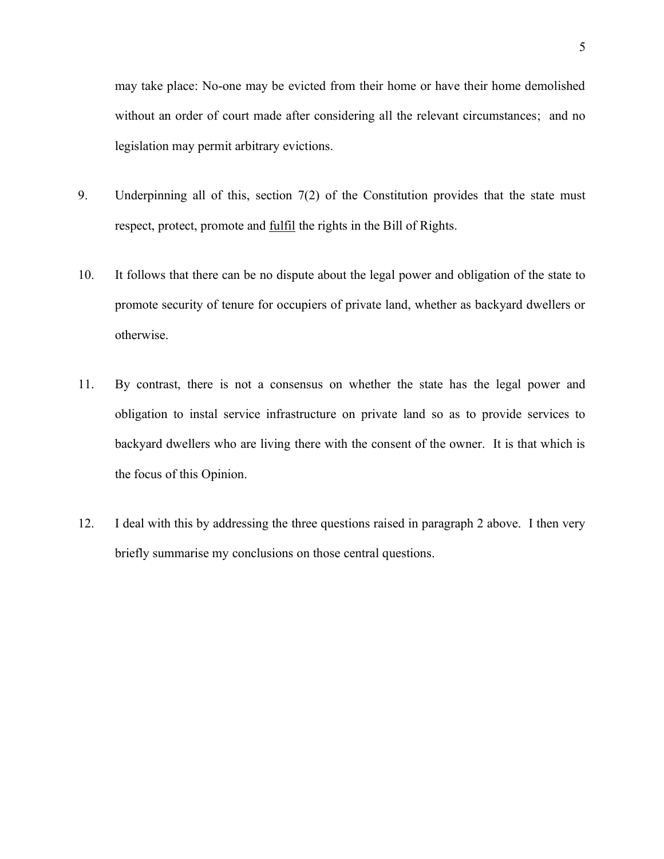may take place: No-one may be evicted from their home or have their home demolished without an order of court made after considering all the relevant circumstances; and no legislation may permit arbitrary evictions.

- 9. Underpinning all of this, section 7(2) of the Constitution provides that the state must respect, protect, promote and fulfil the rights in the Bill of Rights.
- 10. It follows that there can be no dispute about the legal power and obligation of the state to promote security of tenure for occupiers of private land, whether as backyard dwellers or otherwise.
- 11. By contrast, there is not a consensus on whether the state has the legal power and obligation to instal service infrastructure on private land so as to provide services to backyard dwellers who are living there with the consent of the owner. It is that which is the focus of this Opinion.
- 12. I deal with this by addressing the three questions raised in paragraph 2 above. I then very briefly summarise my conclusions on those central questions.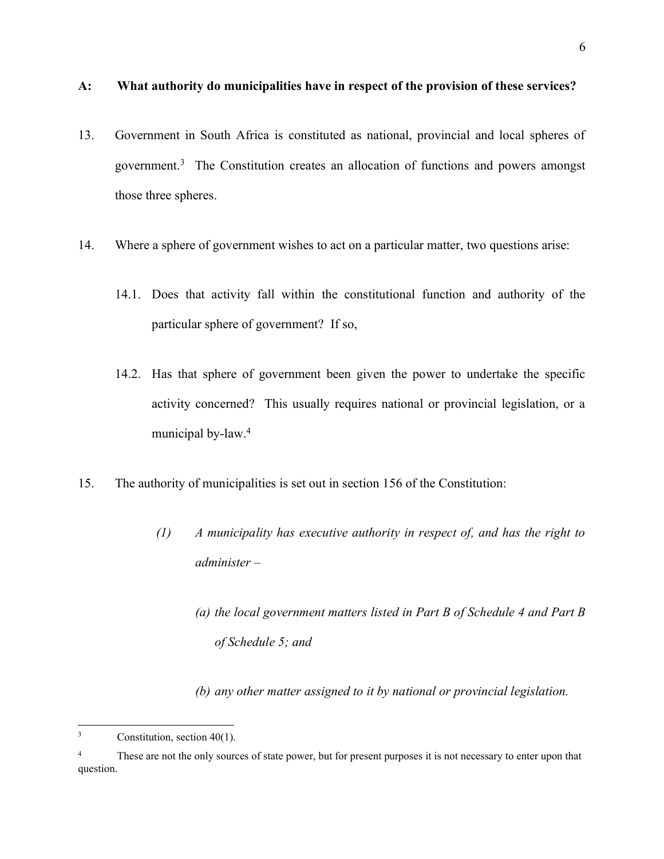- 13. Government in South Africa is constituted as national, provincial and local spheres of government.3 The Constitution creates an allocation of functions and powers amongst those three spheres.
- 14. Where a sphere of government wishes to act on a particular matter, two questions arise:
	- 14.1. Does that activity fall within the constitutional function and authority of the particular sphere of government? If so,
	- 14.2. Has that sphere of government been given the power to undertake the specific activity concerned? This usually requires national or provincial legislation, or a municipal by-law.<sup>4</sup>
- 15. The authority of municipalities is set out in section 156 of the Constitution:
	- *(1) A municipality has executive authority in respect of, and has the right to administer –*
		- *(a) the local government matters listed in Part B of Schedule 4 and Part B of Schedule 5; and*

*(b) any other matter assigned to it by national or provincial legislation.*

 $3$  Constitution, section 40(1).

<sup>&</sup>lt;sup>4</sup> These are not the only sources of state power, but for present purposes it is not necessary to enter upon that question.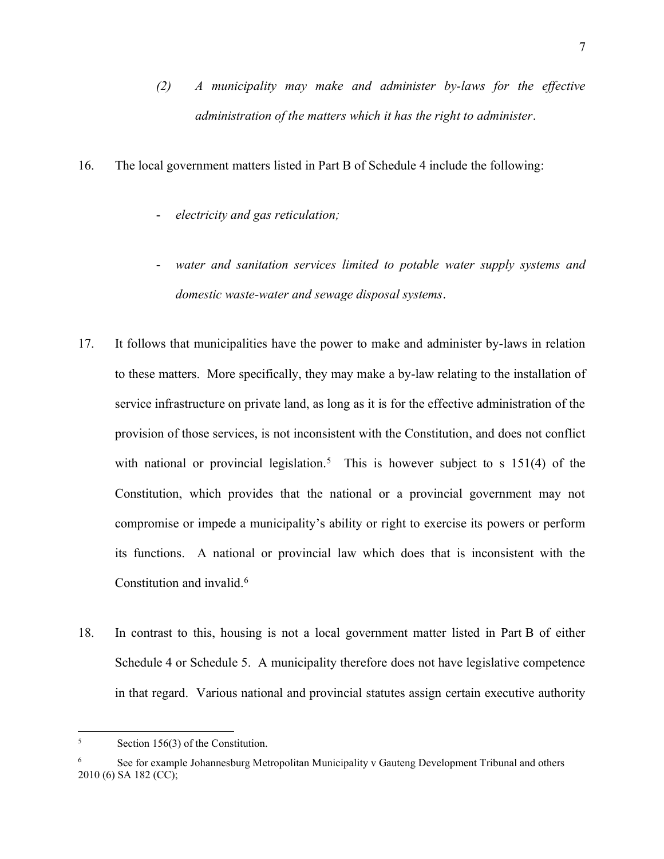- *(2) A municipality may make and administer by-laws for the effective administration of the matters which it has the right to administer*.
- 16. The local government matters listed in Part B of Schedule 4 include the following:
	- *electricity and gas reticulation;*
	- water and sanitation services limited to potable water supply systems and *domestic waste-water and sewage disposal systems*.
- 17. It follows that municipalities have the power to make and administer by-laws in relation to these matters. More specifically, they may make a by-law relating to the installation of service infrastructure on private land, as long as it is for the effective administration of the provision of those services, is not inconsistent with the Constitution, and does not conflict with national or provincial legislation.<sup>5</sup> This is however subject to s  $151(4)$  of the Constitution, which provides that the national or a provincial government may not compromise or impede a municipality's ability or right to exercise its powers or perform its functions. A national or provincial law which does that is inconsistent with the Constitution and invalid.6
- 18. In contrast to this, housing is not a local government matter listed in Part B of either Schedule 4 or Schedule 5. A municipality therefore does not have legislative competence in that regard. Various national and provincial statutes assign certain executive authority

<sup>5</sup> Section 156(3) of the Constitution.

<sup>6</sup> See for example Johannesburg Metropolitan Municipality v Gauteng Development Tribunal and others 2010 (6) SA 182 (CC);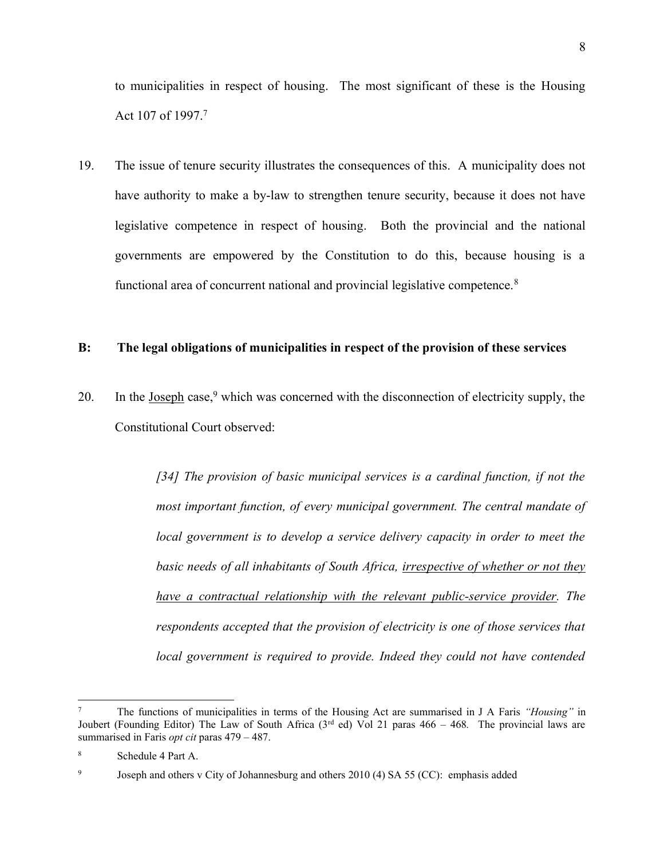to municipalities in respect of housing. The most significant of these is the Housing Act 107 of 1997. 7

19. The issue of tenure security illustrates the consequences of this. A municipality does not have authority to make a by-law to strengthen tenure security, because it does not have legislative competence in respect of housing. Both the provincial and the national governments are empowered by the Constitution to do this, because housing is a functional area of concurrent national and provincial legislative competence.<sup>8</sup>

#### **B: The legal obligations of municipalities in respect of the provision of these services**

20. In the Joseph case,  $9$  which was concerned with the disconnection of electricity supply, the Constitutional Court observed:

> *[34] The provision of basic municipal services is a cardinal function, if not the most important function, of every municipal government. The central mandate of local government is to develop a service delivery capacity in order to meet the basic needs of all inhabitants of South Africa, irrespective of whether or not they have a contractual relationship with the relevant public-service provider. The respondents accepted that the provision of electricity is one of those services that local government is required to provide. Indeed they could not have contended*

<sup>7</sup> The functions of municipalities in terms of the Housing Act are summarised in J A Faris *"Housing"* in Joubert (Founding Editor) The Law of South Africa (3rd ed) Vol 21 paras 466 – 468*.* The provincial laws are summarised in Faris *opt cit* paras 479 – 487.

<sup>8</sup> Schedule 4 Part A.

<sup>&</sup>lt;sup>9</sup> Joseph and others v City of Johannesburg and others 2010 (4) SA 55 (CC): emphasis added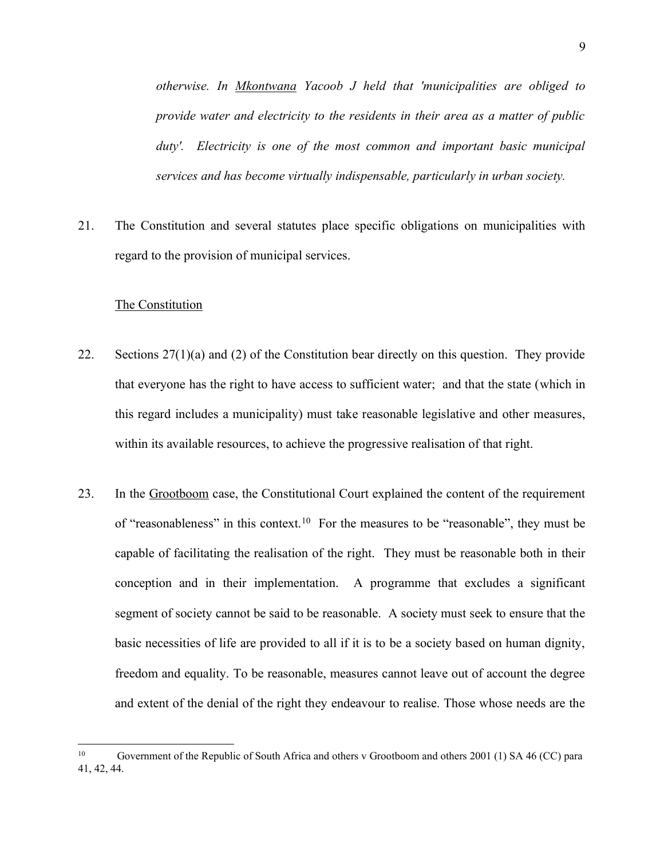*otherwise. In Mkontwana Yacoob J held that 'municipalities are obliged to provide water and electricity to the residents in their area as a matter of public duty'. Electricity is one of the most common and important basic municipal services and has become virtually indispensable, particularly in urban society.*

21. The Constitution and several statutes place specific obligations on municipalities with regard to the provision of municipal services.

#### The Constitution

- 22. Sections 27(1)(a) and (2) of the Constitution bear directly on this question. They provide that everyone has the right to have access to sufficient water; and that the state (which in this regard includes a municipality) must take reasonable legislative and other measures, within its available resources, to achieve the progressive realisation of that right.
- 23. In the Grootboom case, the Constitutional Court explained the content of the requirement of "reasonableness" in this context.<sup>10</sup> For the measures to be "reasonable", they must be capable of facilitating the realisation of the right. They must be reasonable both in their conception and in their implementation. A programme that excludes a significant segment of society cannot be said to be reasonable. A society must seek to ensure that the basic necessities of life are provided to all if it is to be a society based on human dignity, freedom and equality. To be reasonable, measures cannot leave out of account the degree and extent of the denial of the right they endeavour to realise. Those whose needs are the

<sup>10</sup> Government of the Republic of South Africa and others v Grootboom and others 2001 (1) SA 46 (CC) para 41, 42, 44.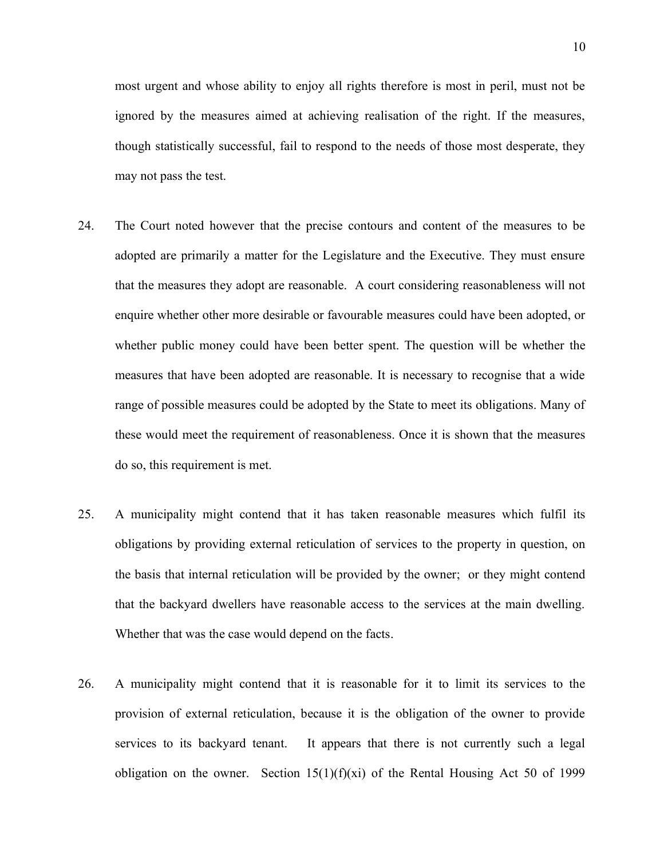most urgent and whose ability to enjoy all rights therefore is most in peril, must not be ignored by the measures aimed at achieving realisation of the right. If the measures, though statistically successful, fail to respond to the needs of those most desperate, they may not pass the test.

- 24. The Court noted however that the precise contours and content of the measures to be adopted are primarily a matter for the Legislature and the Executive. They must ensure that the measures they adopt are reasonable. A court considering reasonableness will not enquire whether other more desirable or favourable measures could have been adopted, or whether public money could have been better spent. The question will be whether the measures that have been adopted are reasonable. It is necessary to recognise that a wide range of possible measures could be adopted by the State to meet its obligations. Many of these would meet the requirement of reasonableness. Once it is shown that the measures do so, this requirement is met.
- 25. A municipality might contend that it has taken reasonable measures which fulfil its obligations by providing external reticulation of services to the property in question, on the basis that internal reticulation will be provided by the owner; or they might contend that the backyard dwellers have reasonable access to the services at the main dwelling. Whether that was the case would depend on the facts.
- 26. A municipality might contend that it is reasonable for it to limit its services to the provision of external reticulation, because it is the obligation of the owner to provide services to its backyard tenant. It appears that there is not currently such a legal obligation on the owner. Section  $15(1)(f)(xi)$  of the Rental Housing Act 50 of 1999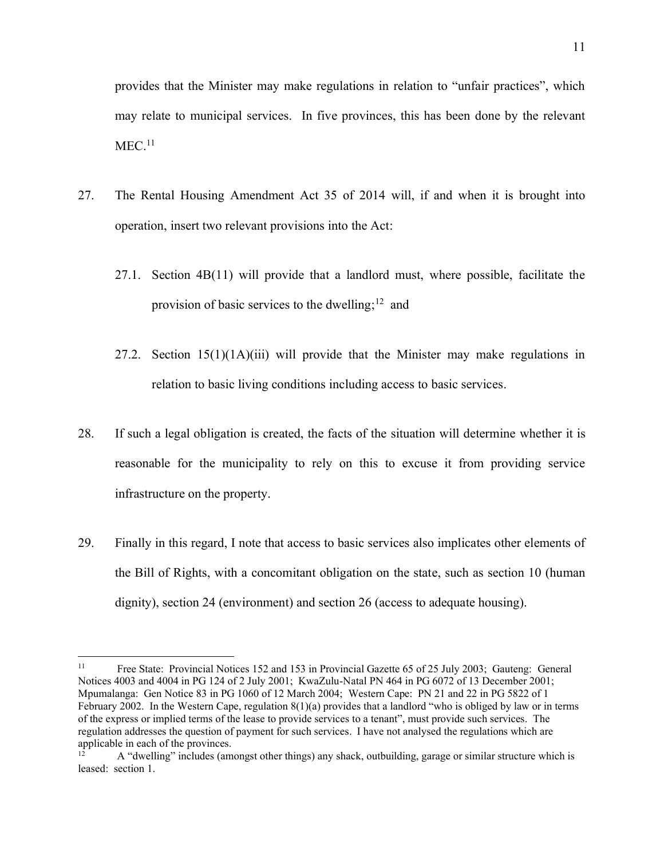provides that the Minister may make regulations in relation to "unfair practices", which may relate to municipal services. In five provinces, this has been done by the relevant  $MEC<sub>11</sub>$ 

- 27. The Rental Housing Amendment Act 35 of 2014 will, if and when it is brought into operation, insert two relevant provisions into the Act:
	- 27.1. Section 4B(11) will provide that a landlord must, where possible, facilitate the provision of basic services to the dwelling;<sup>12</sup> and
	- 27.2. Section  $15(1)(1A)(iii)$  will provide that the Minister may make regulations in relation to basic living conditions including access to basic services.
- 28. If such a legal obligation is created, the facts of the situation will determine whether it is reasonable for the municipality to rely on this to excuse it from providing service infrastructure on the property.
- 29. Finally in this regard, I note that access to basic services also implicates other elements of the Bill of Rights, with a concomitant obligation on the state, such as section 10 (human dignity), section 24 (environment) and section 26 (access to adequate housing).

<sup>11</sup> Free State: Provincial Notices 152 and 153 in Provincial Gazette 65 of 25 July 2003; Gauteng: General Notices 4003 and 4004 in PG 124 of 2 July 2001; KwaZulu-Natal PN 464 in PG 6072 of 13 December 2001; Mpumalanga: Gen Notice 83 in PG 1060 of 12 March 2004; Western Cape: PN 21 and 22 in PG 5822 of 1 February 2002. In the Western Cape, regulation  $8(1)(a)$  provides that a landlord "who is obliged by law or in terms of the express or implied terms of the lease to provide services to a tenant", must provide such services. The regulation addresses the question of payment for such services. I have not analysed the regulations which are applicable in each of the provinces.

<sup>12</sup> A "dwelling" includes (amongst other things) any shack, outbuilding, garage or similar structure which is leased: section 1.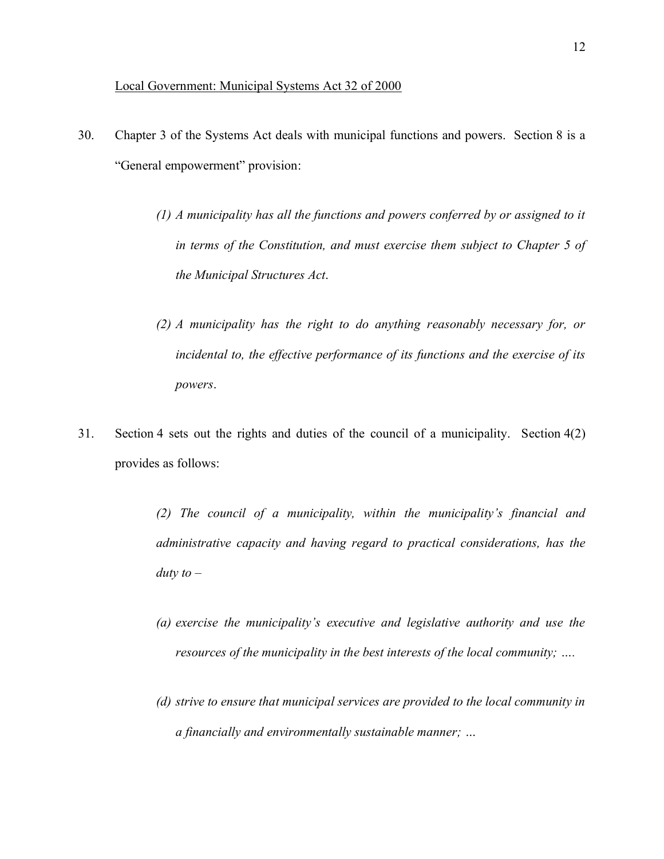#### Local Government: Municipal Systems Act 32 of 2000

- 30. Chapter 3 of the Systems Act deals with municipal functions and powers. Section 8 is a "General empowerment" provision:
	- *(1) A municipality has all the functions and powers conferred by or assigned to it in terms of the Constitution, and must exercise them subject to Chapter 5 of the Municipal Structures Act*.
	- *(2) A municipality has the right to do anything reasonably necessary for, or incidental to, the effective performance of its functions and the exercise of its powers*.
- 31. Section 4 sets out the rights and duties of the council of a municipality. Section 4(2) provides as follows:

*(2) The council of a municipality, within the municipality's financial and administrative capacity and having regard to practical considerations, has the duty to*  $-$ 

- *(a) exercise the municipality's executive and legislative authority and use the resources of the municipality in the best interests of the local community; ….*
- *(d) strive to ensure that municipal services are provided to the local community in a financially and environmentally sustainable manner; …*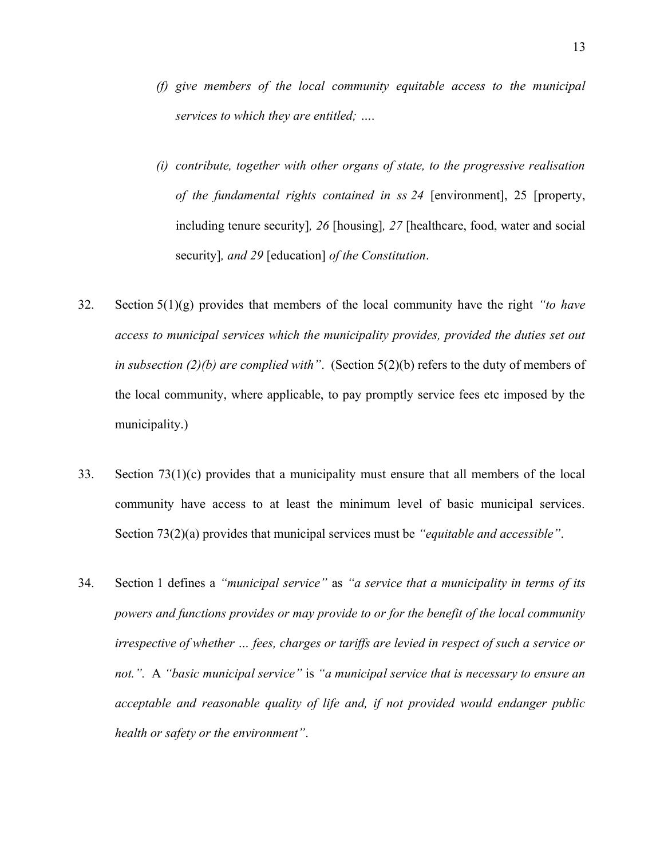- *(f) give members of the local community equitable access to the municipal services to which they are entitled; ….*
- *(i) contribute, together with other organs of state, to the progressive realisation of the fundamental rights contained in ss 24* [environment], 25 [property, including tenure security]*, 26* [housing]*, 27* [healthcare, food, water and social security]*, and 29* [education] *of the Constitution*.
- 32. Section 5(1)(g) provides that members of the local community have the right *"to have access to municipal services which the municipality provides, provided the duties set out in subsection (2)(b) are complied with"*. (Section 5(2)(b) refers to the duty of members of the local community, where applicable, to pay promptly service fees etc imposed by the municipality.)
- 33. Section 73(1)(c) provides that a municipality must ensure that all members of the local community have access to at least the minimum level of basic municipal services. Section 73(2)(a) provides that municipal services must be *"equitable and accessible"*.
- 34. Section 1 defines a *"municipal service"* as *"a service that a municipality in terms of its powers and functions provides or may provide to or for the benefit of the local community irrespective of whether … fees, charges or tariffs are levied in respect of such a service or not.".* A *"basic municipal service"* is *"a municipal service that is necessary to ensure an acceptable and reasonable quality of life and, if not provided would endanger public health or safety or the environment"*.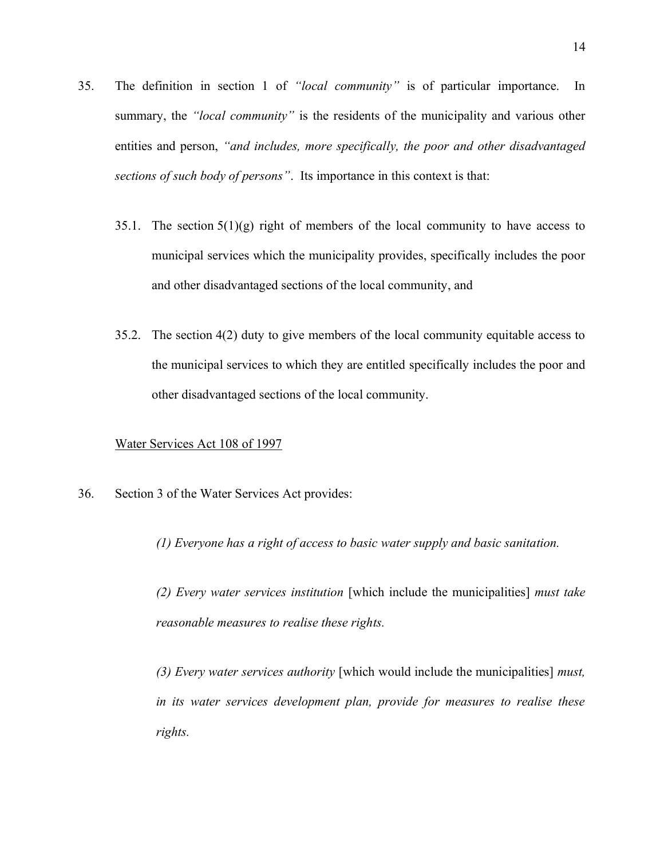- 35. The definition in section 1 of *"local community"* is of particular importance. In summary, the *"local community"* is the residents of the municipality and various other entities and person, *"and includes, more specifically, the poor and other disadvantaged sections of such body of persons"*. Its importance in this context is that:
	- 35.1. The section  $5(1)(g)$  right of members of the local community to have access to municipal services which the municipality provides, specifically includes the poor and other disadvantaged sections of the local community, and
	- 35.2. The section 4(2) duty to give members of the local community equitable access to the municipal services to which they are entitled specifically includes the poor and other disadvantaged sections of the local community.

#### Water Services Act 108 of 1997

36. Section 3 of the Water Services Act provides:

*(1) Everyone has a right of access to basic water supply and basic sanitation.*

*(2) Every water services institution* [which include the municipalities] *must take reasonable measures to realise these rights.*

*(3) Every water services authority* [which would include the municipalities] *must, in its water services development plan, provide for measures to realise these rights.*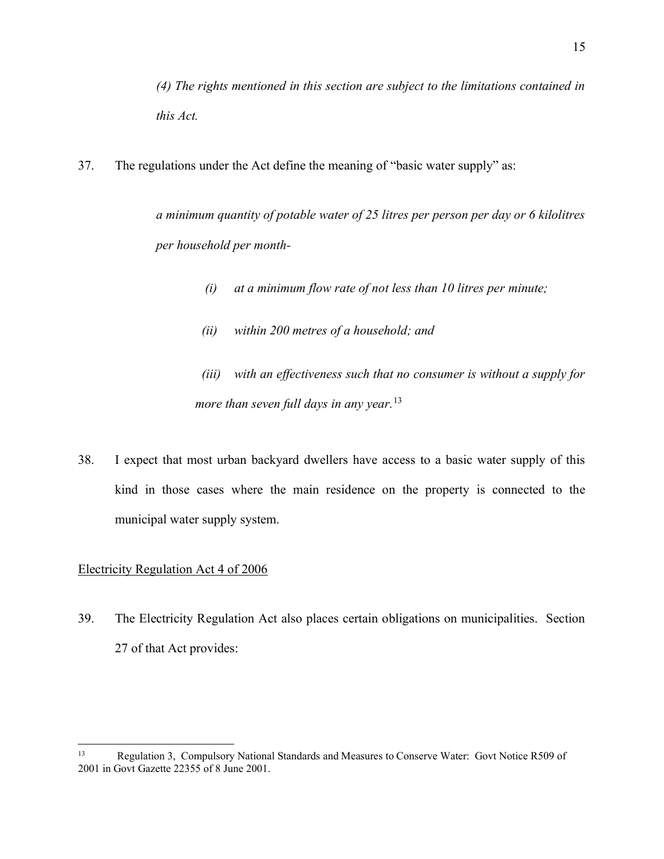*(4) The rights mentioned in this section are subject to the limitations contained in this Act.*

37. The regulations under the Act define the meaning of "basic water supply" as:

*a minimum quantity of potable water of 25 litres per person per day or 6 kilolitres per household per month-*

- *(i) at a minimum flow rate of not less than 10 litres per minute;*
- *(ii) within 200 metres of a household; and*

 *(iii) with an effectiveness such that no consumer is without a supply for more than seven full days in any year.*<sup>13</sup>

38. I expect that most urban backyard dwellers have access to a basic water supply of this kind in those cases where the main residence on the property is connected to the municipal water supply system.

#### Electricity Regulation Act 4 of 2006

39. The Electricity Regulation Act also places certain obligations on municipalities. Section 27 of that Act provides:

<sup>13</sup> Regulation 3, Compulsory National Standards and Measures to Conserve Water: Govt Notice R509 of 2001 in Govt Gazette 22355 of 8 June 2001.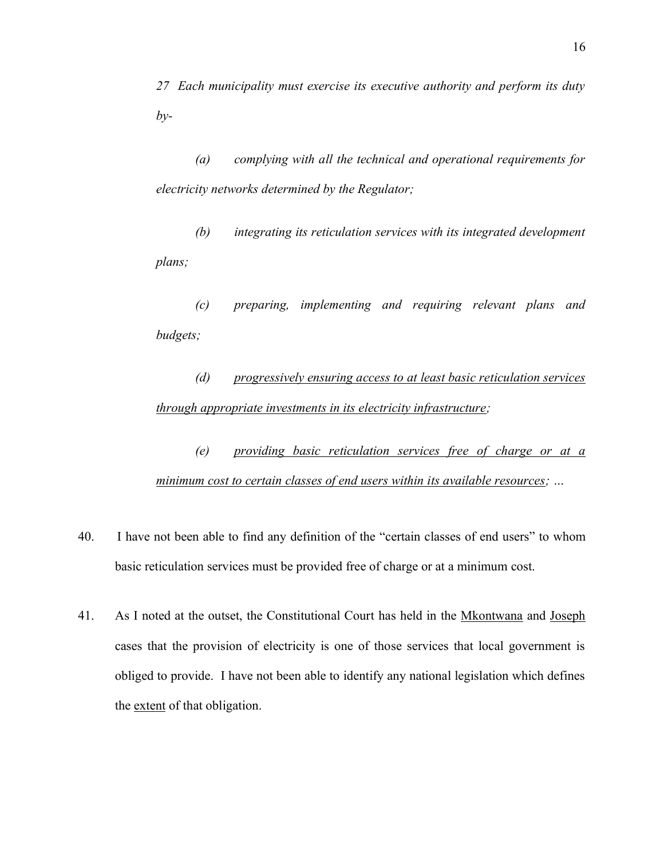*27 Each municipality must exercise its executive authority and perform its duty by-*

*(a) complying with all the technical and operational requirements for electricity networks determined by the Regulator;*

*(b) integrating its reticulation services with its integrated development plans;*

*(c) preparing, implementing and requiring relevant plans and budgets;*

*(d) progressively ensuring access to at least basic reticulation services through appropriate investments in its electricity infrastructure;*

*(e) providing basic reticulation services free of charge or at a minimum cost to certain classes of end users within its available resources; …*

- 40. I have not been able to find any definition of the "certain classes of end users" to whom basic reticulation services must be provided free of charge or at a minimum cost.
- 41. As I noted at the outset, the Constitutional Court has held in the Mkontwana and Joseph cases that the provision of electricity is one of those services that local government is obliged to provide. I have not been able to identify any national legislation which defines the extent of that obligation.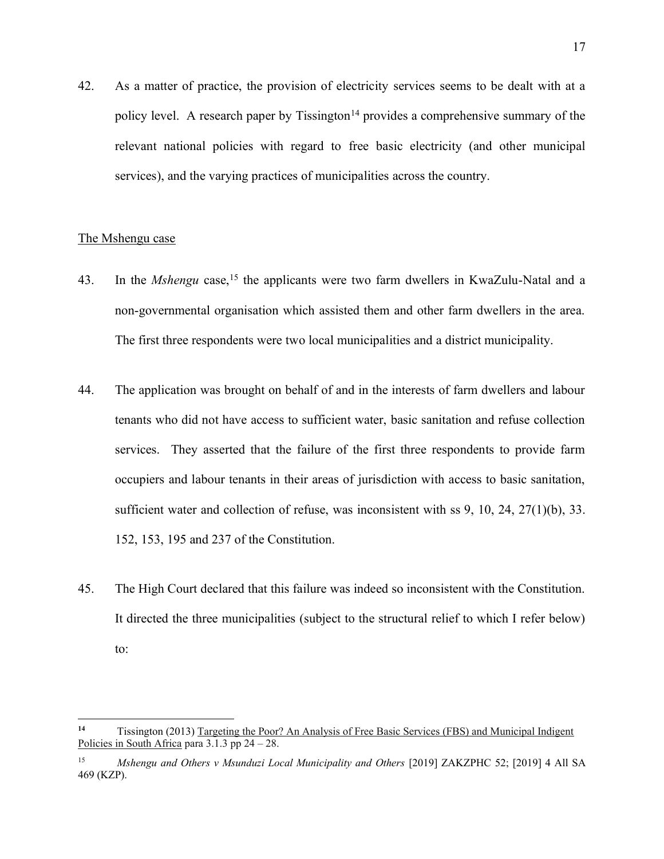42. As a matter of practice, the provision of electricity services seems to be dealt with at a policy level. A research paper by Tissington<sup>14</sup> provides a comprehensive summary of the relevant national policies with regard to free basic electricity (and other municipal services), and the varying practices of municipalities across the country.

#### The Mshengu case

- 43. In the *Mshengu* case,15 the applicants were two farm dwellers in KwaZulu-Natal and a non-governmental organisation which assisted them and other farm dwellers in the area. The first three respondents were two local municipalities and a district municipality.
- 44. The application was brought on behalf of and in the interests of farm dwellers and labour tenants who did not have access to sufficient water, basic sanitation and refuse collection services. They asserted that the failure of the first three respondents to provide farm occupiers and labour tenants in their areas of jurisdiction with access to basic sanitation, sufficient water and collection of refuse, was inconsistent with ss  $9, 10, 24, 27(1)(b), 33$ . 152, 153, 195 and 237 of the Constitution.
- 45. The High Court declared that this failure was indeed so inconsistent with the Constitution. It directed the three municipalities (subject to the structural relief to which I refer below) to:

**<sup>14</sup>** Tissington (2013) Targeting the Poor? An Analysis of Free Basic Services (FBS) and Municipal Indigent Policies in South Africa para  $3.1.3$  pp  $24 - 28$ .

<sup>&</sup>lt;sup>15</sup> *Mshengu and Others v Msunduzi Local Municipality and Others* [2019] ZAKZPHC 52; [2019] 4 All SA 469 (KZP).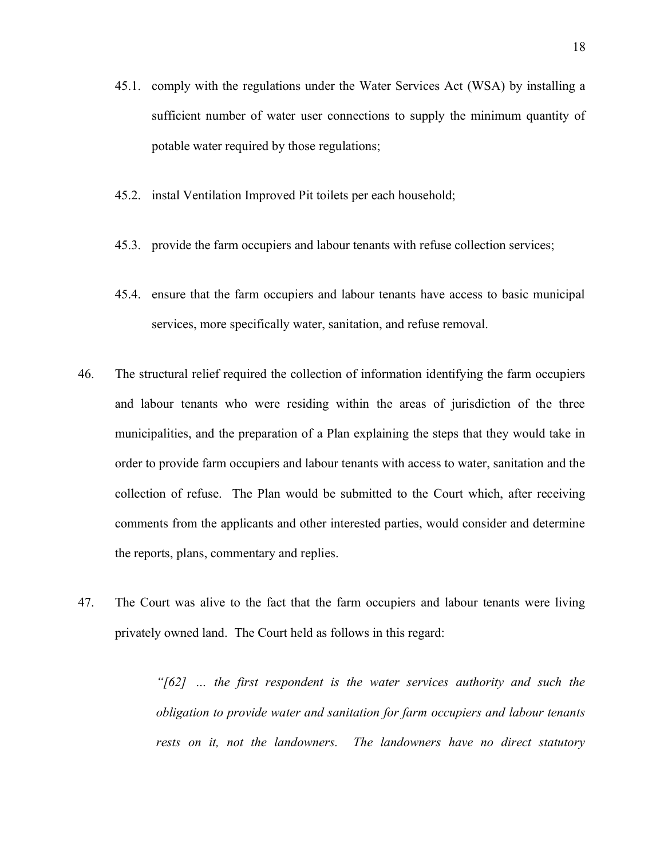- 45.1. comply with the regulations under the Water Services Act (WSA) by installing a sufficient number of water user connections to supply the minimum quantity of potable water required by those regulations;
- 45.2. instal Ventilation Improved Pit toilets per each household;
- 45.3. provide the farm occupiers and labour tenants with refuse collection services;
- 45.4. ensure that the farm occupiers and labour tenants have access to basic municipal services, more specifically water, sanitation, and refuse removal.
- 46. The structural relief required the collection of information identifying the farm occupiers and labour tenants who were residing within the areas of jurisdiction of the three municipalities, and the preparation of a Plan explaining the steps that they would take in order to provide farm occupiers and labour tenants with access to water, sanitation and the collection of refuse. The Plan would be submitted to the Court which, after receiving comments from the applicants and other interested parties, would consider and determine the reports, plans, commentary and replies.
- 47. The Court was alive to the fact that the farm occupiers and labour tenants were living privately owned land. The Court held as follows in this regard:

*"[62] … the first respondent is the water services authority and such the obligation to provide water and sanitation for farm occupiers and labour tenants rests on it, not the landowners. The landowners have no direct statutory*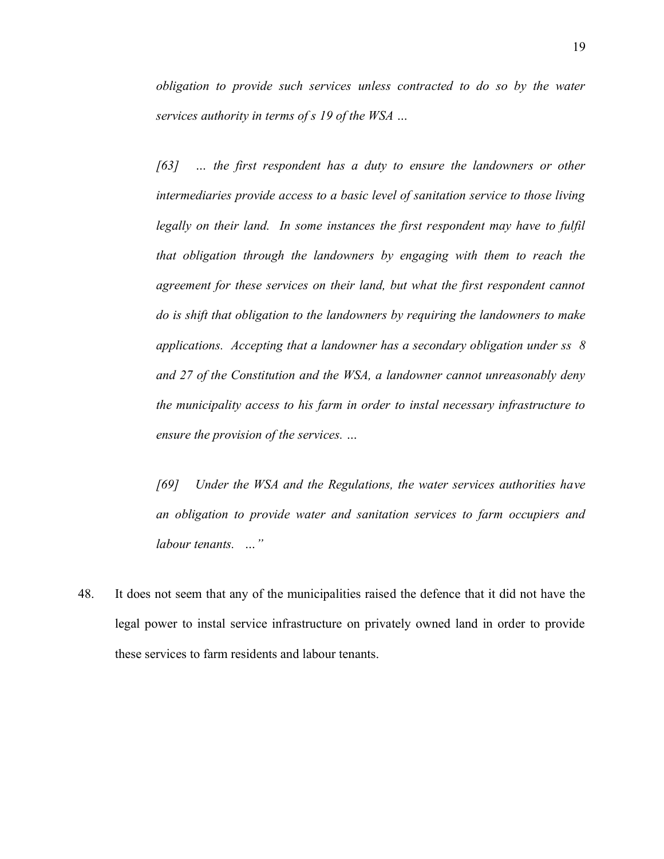*obligation to provide such services unless contracted to do so by the water services authority in terms of s 19 of the WSA …*

*[63] … the first respondent has a duty to ensure the landowners or other intermediaries provide access to a basic level of sanitation service to those living legally on their land. In some instances the first respondent may have to fulfil that obligation through the landowners by engaging with them to reach the agreement for these services on their land, but what the first respondent cannot do is shift that obligation to the landowners by requiring the landowners to make applications. Accepting that a landowner has a secondary obligation under ss 8 and 27 of the Constitution and the WSA, a landowner cannot unreasonably deny the municipality access to his farm in order to instal necessary infrastructure to ensure the provision of the services. …*

*[69] Under the WSA and the Regulations, the water services authorities have an obligation to provide water and sanitation services to farm occupiers and labour tenants. …"*

48. It does not seem that any of the municipalities raised the defence that it did not have the legal power to instal service infrastructure on privately owned land in order to provide these services to farm residents and labour tenants.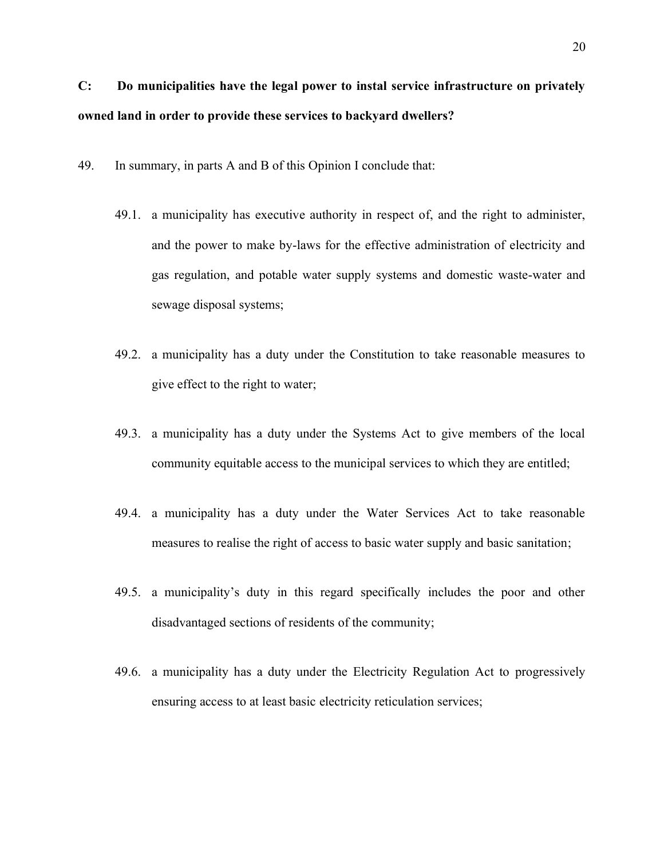# **C: Do municipalities have the legal power to instal service infrastructure on privately owned land in order to provide these services to backyard dwellers?**

- 49. In summary, in parts A and B of this Opinion I conclude that:
	- 49.1. a municipality has executive authority in respect of, and the right to administer, and the power to make by-laws for the effective administration of electricity and gas regulation, and potable water supply systems and domestic waste-water and sewage disposal systems;
	- 49.2. a municipality has a duty under the Constitution to take reasonable measures to give effect to the right to water;
	- 49.3. a municipality has a duty under the Systems Act to give members of the local community equitable access to the municipal services to which they are entitled;
	- 49.4. a municipality has a duty under the Water Services Act to take reasonable measures to realise the right of access to basic water supply and basic sanitation;
	- 49.5. a municipality's duty in this regard specifically includes the poor and other disadvantaged sections of residents of the community;
	- 49.6. a municipality has a duty under the Electricity Regulation Act to progressively ensuring access to at least basic electricity reticulation services;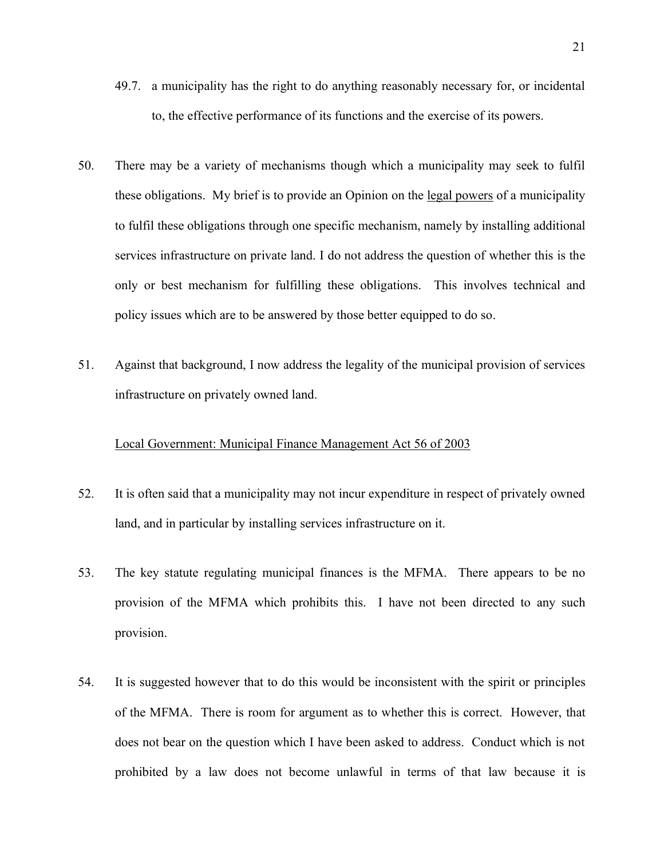- 49.7. a municipality has the right to do anything reasonably necessary for, or incidental to, the effective performance of its functions and the exercise of its powers.
- 50. There may be a variety of mechanisms though which a municipality may seek to fulfil these obligations. My brief is to provide an Opinion on the legal powers of a municipality to fulfil these obligations through one specific mechanism, namely by installing additional services infrastructure on private land. I do not address the question of whether this is the only or best mechanism for fulfilling these obligations. This involves technical and policy issues which are to be answered by those better equipped to do so.
- 51. Against that background, I now address the legality of the municipal provision of services infrastructure on privately owned land.

#### Local Government: Municipal Finance Management Act 56 of 2003

- 52. It is often said that a municipality may not incur expenditure in respect of privately owned land, and in particular by installing services infrastructure on it.
- 53. The key statute regulating municipal finances is the MFMA. There appears to be no provision of the MFMA which prohibits this. I have not been directed to any such provision.
- 54. It is suggested however that to do this would be inconsistent with the spirit or principles of the MFMA. There is room for argument as to whether this is correct. However, that does not bear on the question which I have been asked to address. Conduct which is not prohibited by a law does not become unlawful in terms of that law because it is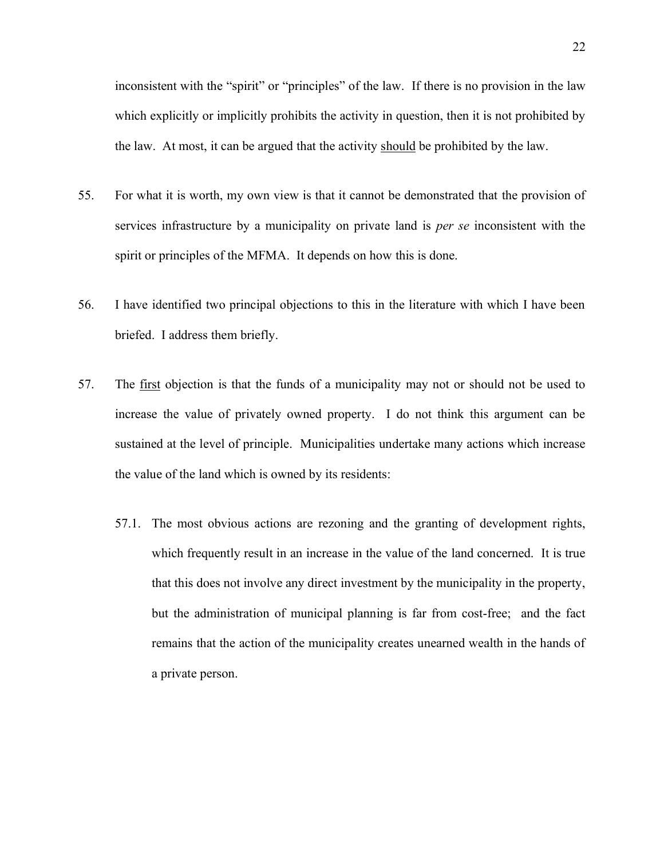inconsistent with the "spirit" or "principles" of the law. If there is no provision in the law which explicitly or implicitly prohibits the activity in question, then it is not prohibited by the law. At most, it can be argued that the activity should be prohibited by the law.

- 55. For what it is worth, my own view is that it cannot be demonstrated that the provision of services infrastructure by a municipality on private land is *per se* inconsistent with the spirit or principles of the MFMA. It depends on how this is done.
- 56. I have identified two principal objections to this in the literature with which I have been briefed. I address them briefly.
- 57. The first objection is that the funds of a municipality may not or should not be used to increase the value of privately owned property. I do not think this argument can be sustained at the level of principle. Municipalities undertake many actions which increase the value of the land which is owned by its residents:
	- 57.1. The most obvious actions are rezoning and the granting of development rights, which frequently result in an increase in the value of the land concerned. It is true that this does not involve any direct investment by the municipality in the property, but the administration of municipal planning is far from cost-free; and the fact remains that the action of the municipality creates unearned wealth in the hands of a private person.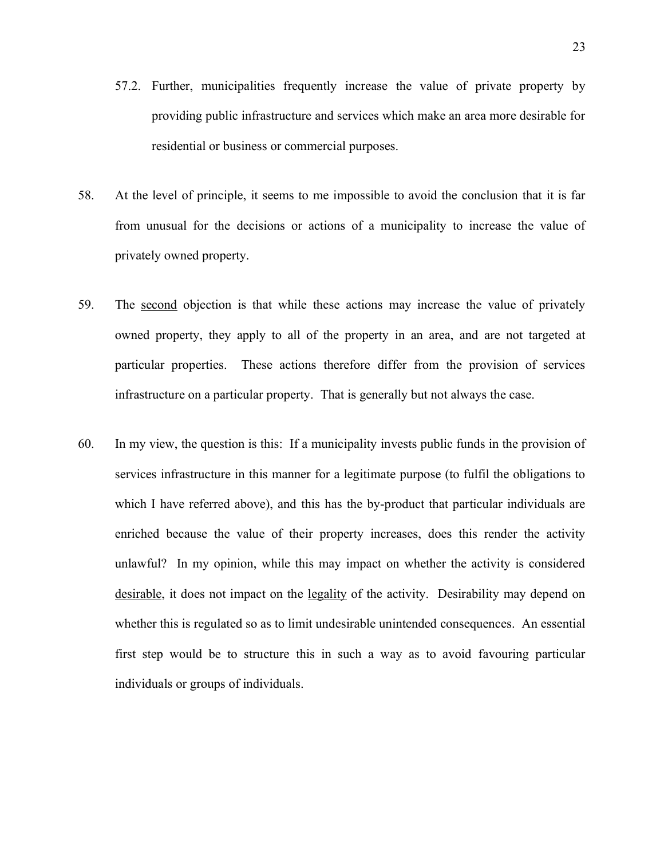- 57.2. Further, municipalities frequently increase the value of private property by providing public infrastructure and services which make an area more desirable for residential or business or commercial purposes.
- 58. At the level of principle, it seems to me impossible to avoid the conclusion that it is far from unusual for the decisions or actions of a municipality to increase the value of privately owned property.
- 59. The second objection is that while these actions may increase the value of privately owned property, they apply to all of the property in an area, and are not targeted at particular properties. These actions therefore differ from the provision of services infrastructure on a particular property. That is generally but not always the case.
- 60. In my view, the question is this: If a municipality invests public funds in the provision of services infrastructure in this manner for a legitimate purpose (to fulfil the obligations to which I have referred above), and this has the by-product that particular individuals are enriched because the value of their property increases, does this render the activity unlawful? In my opinion, while this may impact on whether the activity is considered desirable, it does not impact on the legality of the activity. Desirability may depend on whether this is regulated so as to limit undesirable unintended consequences. An essential first step would be to structure this in such a way as to avoid favouring particular individuals or groups of individuals.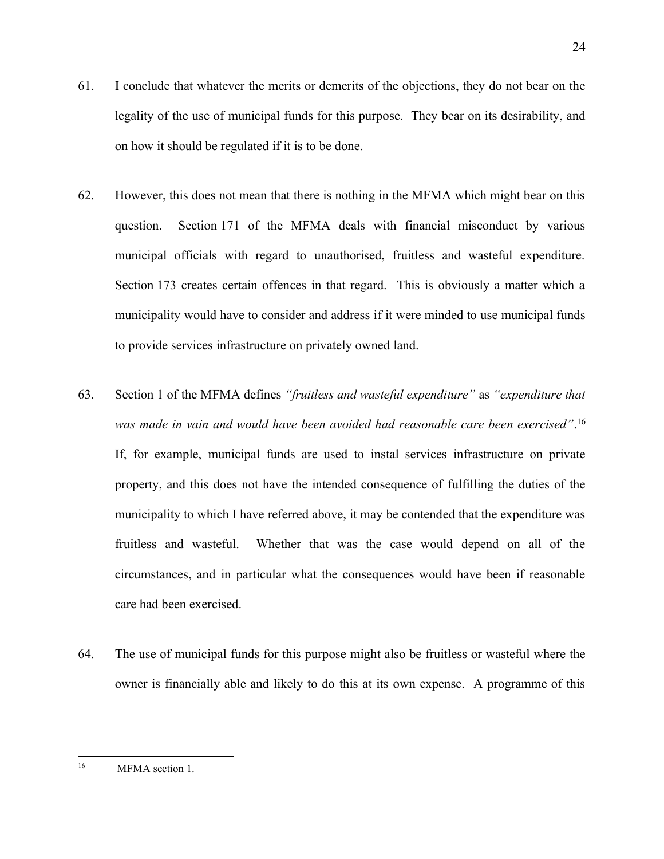- 61. I conclude that whatever the merits or demerits of the objections, they do not bear on the legality of the use of municipal funds for this purpose. They bear on its desirability, and on how it should be regulated if it is to be done.
- 62. However, this does not mean that there is nothing in the MFMA which might bear on this question. Section 171 of the MFMA deals with financial misconduct by various municipal officials with regard to unauthorised, fruitless and wasteful expenditure. Section 173 creates certain offences in that regard. This is obviously a matter which a municipality would have to consider and address if it were minded to use municipal funds to provide services infrastructure on privately owned land.
- 63. Section 1 of the MFMA defines *"fruitless and wasteful expenditure"* as *"expenditure that was made in vain and would have been avoided had reasonable care been exercised"*. 16 If, for example, municipal funds are used to instal services infrastructure on private property, and this does not have the intended consequence of fulfilling the duties of the municipality to which I have referred above, it may be contended that the expenditure was fruitless and wasteful. Whether that was the case would depend on all of the circumstances, and in particular what the consequences would have been if reasonable care had been exercised.
- 64. The use of municipal funds for this purpose might also be fruitless or wasteful where the owner is financially able and likely to do this at its own expense. A programme of this

<sup>16</sup> MFMA section 1.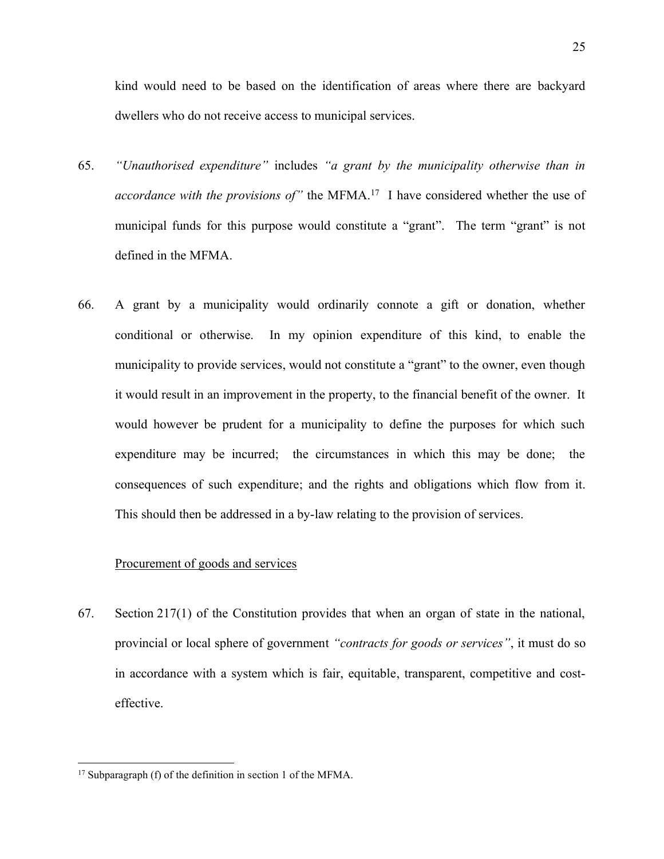kind would need to be based on the identification of areas where there are backyard dwellers who do not receive access to municipal services.

- 65. *"Unauthorised expenditure"* includes *"a grant by the municipality otherwise than in accordance with the provisions of*<sup>"</sup> the MFMA.<sup>17</sup> I have considered whether the use of municipal funds for this purpose would constitute a "grant". The term "grant" is not defined in the MFMA.
- 66. A grant by a municipality would ordinarily connote a gift or donation, whether conditional or otherwise. In my opinion expenditure of this kind, to enable the municipality to provide services, would not constitute a "grant" to the owner, even though it would result in an improvement in the property, to the financial benefit of the owner. It would however be prudent for a municipality to define the purposes for which such expenditure may be incurred; the circumstances in which this may be done; the consequences of such expenditure; and the rights and obligations which flow from it. This should then be addressed in a by-law relating to the provision of services.

#### Procurement of goods and services

67. Section 217(1) of the Constitution provides that when an organ of state in the national, provincial or local sphere of government *"contracts for goods or services"*, it must do so in accordance with a system which is fair, equitable, transparent, competitive and costeffective.

<sup>&</sup>lt;sup>17</sup> Subparagraph (f) of the definition in section 1 of the MFMA.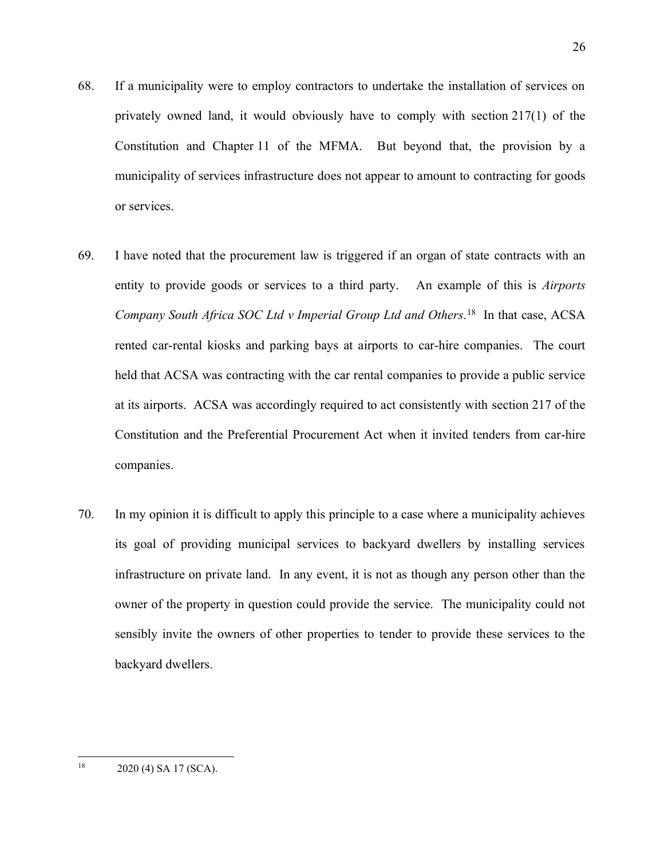- 68. If a municipality were to employ contractors to undertake the installation of services on privately owned land, it would obviously have to comply with section 217(1) of the Constitution and Chapter 11 of the MFMA. But beyond that, the provision by a municipality of services infrastructure does not appear to amount to contracting for goods or services.
- 69. I have noted that the procurement law is triggered if an organ of state contracts with an entity to provide goods or services to a third party. An example of this is *Airports Company South Africa SOC Ltd v Imperial Group Ltd and Others.* 18 In that case, ACSA rented car-rental kiosks and parking bays at airports to car-hire companies. The court held that ACSA was contracting with the car rental companies to provide a public service at its airports. ACSA was accordingly required to act consistently with section 217 of the Constitution and the Preferential Procurement Act when it invited tenders from car-hire companies.
- 70. In my opinion it is difficult to apply this principle to a case where a municipality achieves its goal of providing municipal services to backyard dwellers by installing services infrastructure on private land. In any event, it is not as though any person other than the owner of the property in question could provide the service. The municipality could not sensibly invite the owners of other properties to tender to provide these services to the backyard dwellers.

 $18$  2020 (4) SA 17 (SCA).